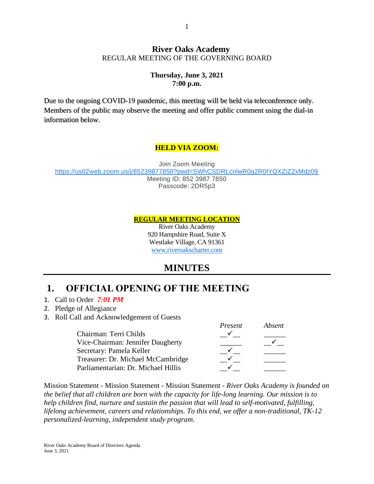#### **River Oaks Academy** REGULAR MEETING OF THE GOVERNING BOARD

#### **Thursday, June 3, 2021 7:00 p.m.**

Due to the ongoing COVID-19 pandemic, this meeting will be held via teleconference only. Members of the public may observe the meeting and offer public comment using the dial-in information below.

#### **HELD VIA ZOOM:**

Join Zoom Meeting <https://us02web.zoom.us/j/85239877850?pwd=SWhCSDRLcnlwR0g2R0lYQXZiZ2xMdz09> Meeting ID: 852 3987 7850 Passcode: 2DR5p3

**REGULAR MEETING LOCATION**

River Oaks Academy 920 Hampshire Road, Suite X Westlake Village, CA 91361 [www.riveroakscharter.com](http://www.riveroakscharter.com/)

# **MINUTES**

# **1. OFFICIAL OPENING OF THE MEETING**

- 1. Call to Order *7:01 PM*
- 2. Pledge of Allegiance
- 3. Roll Call and Acknowledgement of Guests

|                                     | Present | Absent |
|-------------------------------------|---------|--------|
| Chairman: Terri Childs              |         |        |
| Vice-Chairman: Jennifer Daugherty   |         |        |
| Secretary: Pamela Keller            |         |        |
| Treasurer: Dr. Michael McCambridge  |         |        |
| Parliamentarian: Dr. Michael Hillis |         |        |

Mission Statement - Mission Statement - Mission Statement - *River Oaks Academy is founded on the belief that all children are born with the capacity for life-long learning. Our mission is to help children find, nurture and sustain the passion that will lead to self-motivated, fulfilling, lifelong achievement, careers and relationships. To this end, we offer a non-traditional, TK-12 personalized-learning, independent study program.*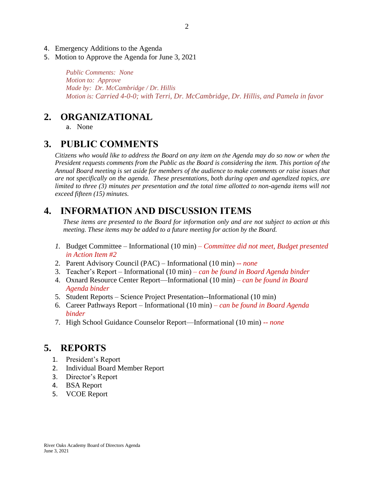- 4. Emergency Additions to the Agenda
- 5. Motion to Approve the Agenda for June 3, 2021

*Public Comments: None Motion to: Approve Made by: Dr. McCambridge / Dr. Hillis Motion is: Carried 4-0-0; with Terri, Dr. McCambridge, Dr. Hillis, and Pamela in favor*

#### **2. ORGANIZATIONAL**

a. None

#### **3. PUBLIC COMMENTS**

*Citizens who would like to address the Board on any item on the Agenda may do so now or when the President requests comments from the Public as the Board is considering the item. This portion of the Annual Board meeting is set aside for members of the audience to make comments or raise issues that are not specifically on the agenda. These presentations, both during open and agendized topics, are limited to three (3) minutes per presentation and the total time allotted to non-agenda items will not exceed fifteen (15) minutes.*

# **4. INFORMATION AND DISCUSSION ITEMS**

*These items are presented to the Board for information only and are not subject to action at this meeting. These items may be added to a future meeting for action by the Board.*

- *1.* Budget Committee Informational (10 min) *Committee did not meet, Budget presented in Action Item #2*
- 2. Parent Advisory Council (PAC) Informational (10 min) *-- none*
- 3. Teacher's Report Informational (10 min) *– can be found in Board Agenda binder*
- 4. Oxnard Resource Center Report—Informational (10 min) *– can be found in Board Agenda binder*
- 5. Student Reports Science Project Presentation--Informational (10 min)
- 6. Career Pathways Report Informational (10 min) *– can be found in Board Agenda binder*
- 7. High School Guidance Counselor Report—Informational (10 min) *-- none*

#### **5. REPORTS**

- 1. President's Report
- 2. Individual Board Member Report
- 3. Director's Report
- 4. BSA Report
- 5. VCOE Report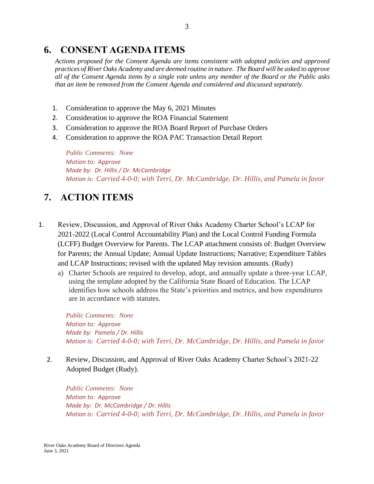## **6. CONSENT AGENDA ITEMS**

*Actions proposed for the Consent Agenda are items consistent with adopted policies and approved practices of River Oaks Academy and are deemed routine in nature. The Board will be asked to approve all of the Consent Agenda items by a single vote unless any member of the Board or the Public asks that an item be removed from the Consent Agenda and considered and discussed separately.*

- 1. Consideration to approve the May 6, 2021 Minutes
- 2. Consideration to approve the ROA Financial Statement
- 3. Consideration to approve the ROA Board Report of Purchase Orders
- 4. Consideration to approve the ROA PAC Transaction Detail Report

*Public Comments: None Motion to: Approve Made by: Dr. Hillis / Dr. McCambridge Motion is: Carried 4-0-0; with Terri, Dr. McCambridge, Dr. Hillis, and Pamela in favor*

# **7. ACTION ITEMS**

- 1. Review, Discussion, and Approval of River Oaks Academy Charter School's LCAP for 2021-2022 (Local Control Accountability Plan) and the Local Control Funding Formula (LCFF) Budget Overview for Parents. The LCAP attachment consists of: Budget Overview for Parents; the Annual Update; Annual Update Instructions; Narrative; Expenditure Tables and LCAP Instructions; revised with the updated May revision amounts. (Rudy)
	- a) Charter Schools are required to develop, adopt, and annually update a three-year LCAP, using the template adopted by the California State Board of Education. The LCAP identifies how schools address the State's priorities and metrics, and how expenditures are in accordance with statutes.

*Public Comments: None Motion to: Approve Made by: Pamela / Dr. Hillis Motion is: Carried 4-0-0; with Terri, Dr. McCambridge, Dr. Hillis, and Pamela in favor*

2. Review, Discussion, and Approval of River Oaks Academy Charter School's 2021-22 Adopted Budget (Rudy).

*Public Comments: None Motion to: Approve Made by: Dr. McCambridge / Dr. Hillis Motion is: Carried 4-0-0; with Terri, Dr. McCambridge, Dr. Hillis, and Pamela in favor*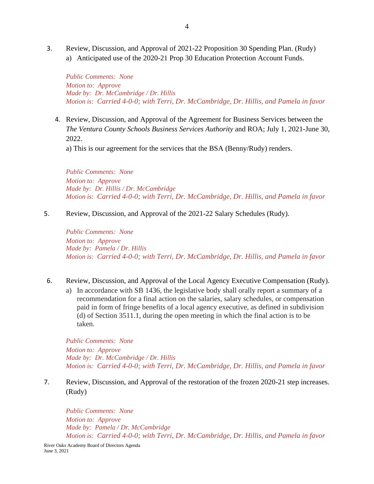3. Review, Discussion, and Approval of 2021-22 Proposition 30 Spending Plan. (Rudy) a) Anticipated use of the 2020-21 Prop 30 Education Protection Account Funds.

*Public Comments: None Motion to: Approve Made by: Dr. McCambridge / Dr. Hillis Motion is: Carried 4-0-0; with Terri, Dr. McCambridge, Dr. Hillis, and Pamela in favor*

4. Review, Discussion, and Approval of the Agreement for Business Services between the *The Ventura County Schools Business Services Authority* and ROA; July 1, 2021-June 30, 2022.

a) This is our agreement for the services that the BSA (Benny/Rudy) renders.

*Public Comments: None Motion to: Approve Made by: Dr. Hillis / Dr. McCambridge Motion is: Carried 4-0-0; with Terri, Dr. McCambridge, Dr. Hillis, and Pamela in favor*

5. Review, Discussion, and Approval of the 2021-22 Salary Schedules (Rudy).

*Public Comments: None Motion to: Approve Made by: Pamela / Dr. Hillis Motion is: Carried 4-0-0; with Terri, Dr. McCambridge, Dr. Hillis, and Pamela in favor*

- 6. Review, Discussion, and Approval of the Local Agency Executive Compensation (Rudy).
	- a) In accordance with SB 1436, the legislative body shall orally report a summary of a recommendation for a final action on the salaries, salary schedules, or compensation paid in form of fringe benefits of a local agency executive, as defined in subdivision (d) of Section 3511.1, during the open meeting in which the final action is to be taken.

*Public Comments: None Motion to: Approve Made by: Dr. McCambridge / Dr. Hillis Motion is: Carried 4-0-0; with Terri, Dr. McCambridge, Dr. Hillis, and Pamela in favor*

7. Review, Discussion, and Approval of the restoration of the frozen 2020-21 step increases. (Rudy)

*Public Comments: None Motion to: Approve Made by: Pamela / Dr. McCambridge Motion is: Carried 4-0-0; with Terri, Dr. McCambridge, Dr. Hillis, and Pamela in favor*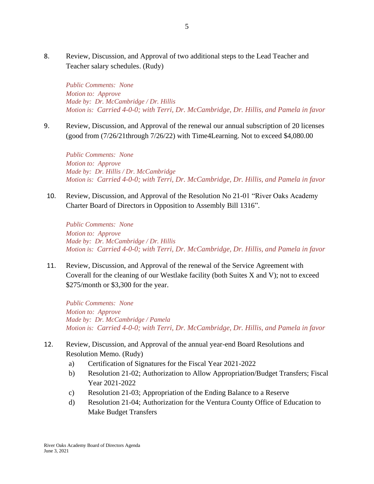8. Review, Discussion, and Approval of two additional steps to the Lead Teacher and Teacher salary schedules. (Rudy)

*Public Comments: None Motion to: Approve Made by: Dr. McCambridge / Dr. Hillis Motion is: Carried 4-0-0; with Terri, Dr. McCambridge, Dr. Hillis, and Pamela in favor*

9. Review, Discussion, and Approval of the renewal our annual subscription of 20 licenses (good from (7/26/21through 7/26/22) with Time4Learning. Not to exceed \$4,080.00

*Public Comments: None Motion to: Approve Made by: Dr. Hillis / Dr. McCambridge Motion is: Carried 4-0-0; with Terri, Dr. McCambridge, Dr. Hillis, and Pamela in favor*

10. Review, Discussion, and Approval of the Resolution No 21-01 "River Oaks Academy Charter Board of Directors in Opposition to Assembly Bill 1316".

*Public Comments: None Motion to: Approve Made by: Dr. McCambridge / Dr. Hillis Motion is: Carried 4-0-0; with Terri, Dr. McCambridge, Dr. Hillis, and Pamela in favor*

11. Review, Discussion, and Approval of the renewal of the Service Agreement with Coverall for the cleaning of our Westlake facility (both Suites X and V); not to exceed \$275/month or \$3,300 for the year.

*Public Comments: None Motion to: Approve Made by: Dr. McCambridge / Pamela Motion is: Carried 4-0-0; with Terri, Dr. McCambridge, Dr. Hillis, and Pamela in favor*

- 12. Review, Discussion, and Approval of the annual year-end Board Resolutions and Resolution Memo. (Rudy)
	- a) Certification of Signatures for the Fiscal Year 2021-2022
	- b) Resolution 21-02; Authorization to Allow Appropriation/Budget Transfers; Fiscal Year 2021-2022
	- c) Resolution 21-03; Appropriation of the Ending Balance to a Reserve
	- d) Resolution 21-04; Authorization for the Ventura County Office of Education to Make Budget Transfers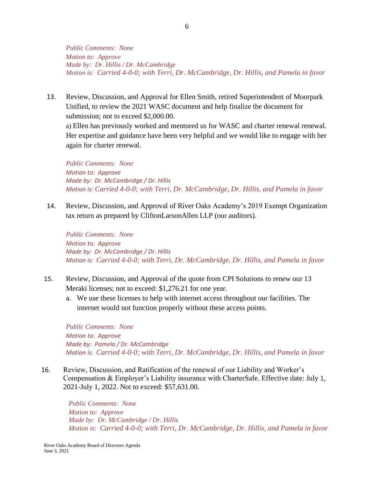*Public Comments: None Motion to: Approve Made by: Dr. Hillis / Dr. McCambridge Motion is: Carried 4-0-0; with Terri, Dr. McCambridge, Dr. Hillis, and Pamela in favor*

13. Review, Discussion, and Approval for Ellen Smith, retired Superintendent of Moorpark Unified, to review the 2021 WASC document and help finalize the document for submission; not to exceed \$2,000.00.

a) Ellen has previously worked and mentored us for WASC and charter renewal renewal. Her expertise and guidance have been very helpful and we would like to engage with her again for charter renewal.

*Public Comments: None Motion to: Approve Made by: Dr. McCambridge / Dr. Hillis Motion is: Carried 4-0-0; with Terri, Dr. McCambridge, Dr. Hillis, and Pamela in favor*

14. Review, Discussion, and Approval of River Oaks Academy's 2019 Exempt Organization tax return as prepared by CliftonLarsonAllen LLP (our auditors).

*Public Comments: None Motion to: Approve Made by: Dr. McCambridge / Dr. Hillis Motion is: Carried 4-0-0; with Terri, Dr. McCambridge, Dr. Hillis, and Pamela in favor*

- 15. Review, Discussion, and Approval of the quote from CPI Solutions to renew our 13 Meraki licenses; not to exceed: \$1,276.21 for one year.
	- a. We use these licenses to help with internet access throughout our facilities. The internet would not function properly without these access points.

*Public Comments: None Motion to: Approve Made by: Pamela / Dr. McCambridge Motion is: Carried 4-0-0; with Terri, Dr. McCambridge, Dr. Hillis, and Pamela in favor*

16. Review, Discussion, and Ratification of the renewal of our Liability and Worker's Compensation & Employer's Liability insurance with CharterSafe. Effective date: July 1, 2021-July 1, 2022. Not to exceed: \$57,631.00.

*Public Comments: None Motion to: Approve Made by: Dr. McCambridge / Dr. Hillis Motion is: Carried 4-0-0; with Terri, Dr. McCambridge, Dr. Hillis, and Pamela in favor*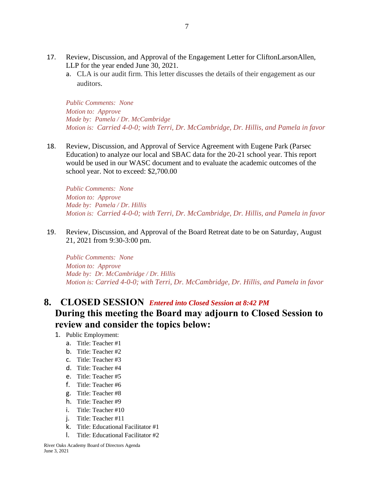- 17. Review, Discussion, and Approval of the Engagement Letter for CliftonLarsonAllen, LLP for the year ended June 30, 2021.
	- a. CLA is our audit firm. This letter discusses the details of their engagement as our auditors.

*Public Comments: None Motion to: Approve Made by: Pamela / Dr. McCambridge Motion is: Carried 4-0-0; with Terri, Dr. McCambridge, Dr. Hillis, and Pamela in favor*

18. Review, Discussion, and Approval of Service Agreement with Eugene Park (Parsec Education) to analyze our local and SBAC data for the 20-21 school year. This report would be used in our WASC document and to evaluate the academic outcomes of the school year. Not to exceed: \$2,700.00

*Public Comments: None Motion to: Approve Made by: Pamela / Dr. Hillis Motion is: Carried 4-0-0; with Terri, Dr. McCambridge, Dr. Hillis, and Pamela in favor*

19. Review, Discussion, and Approval of the Board Retreat date to be on Saturday, August 21, 2021 from 9:30-3:00 pm.

*Public Comments: None Motion to: Approve Made by: Dr. McCambridge / Dr. Hillis Motion is: Carried 4-0-0; with Terri, Dr. McCambridge, Dr. Hillis, and Pamela in favor*

## **8. CLOSED SESSION** *Entered into Closed Session at 8:42 PM* **During this meeting the Board may adjourn to Closed Session to review and consider the topics below:**

- 1. Public Employment:
	- a. Title: Teacher #1
	- b. Title: Teacher #2
	- c. Title: Teacher #3
	- d. Title: Teacher #4
	- e. Title: Teacher #5
	- f. Title: Teacher #6
	- g. Title: Teacher #8
	- h. Title: Teacher #9
	- i. Title: Teacher #10
	- j. Title: Teacher #11
	- k. Title: Educational Facilitator #1
	- l. Title: Educational Facilitator #2

River Oaks Academy Board of Directors Agenda June 3, 2021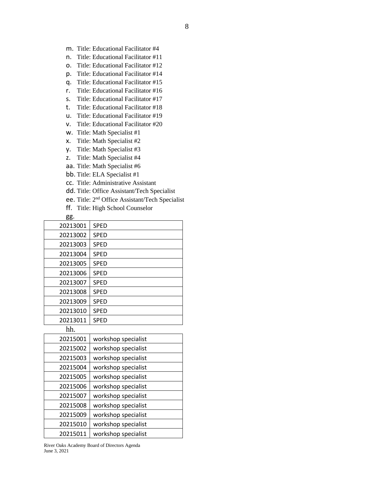- m. Title: Educational Facilitator #4
- n. Title: Educational Facilitator #11
- o. Title: Educational Facilitator #12
- p. Title: Educational Facilitator #14
- q. Title: Educational Facilitator #15
- r. Title: Educational Facilitator #16
- s. Title: Educational Facilitator #17
- t. Title: Educational Facilitator #18
- u. Title: Educational Facilitator #19
- v. Title: Educational Facilitator #20
- w. Title: Math Specialist #1
- x. Title: Math Specialist #2
- y. Title: Math Specialist #3
- z. Title: Math Specialist #4
- aa. Title: Math Specialist #6
- bb. Title: ELA Specialist #1
- cc. Title: Administrative Assistant
- dd. Title: Office Assistant/Tech Specialist
- ee. Title: 2nd Office Assistant/Tech Specialist
- ff. Title: High School Counselor

| gg.      |                     |
|----------|---------------------|
| 20213001 | <b>SPED</b>         |
| 20213002 | <b>SPED</b>         |
| 20213003 | <b>SPED</b>         |
| 20213004 | <b>SPED</b>         |
| 20213005 | <b>SPED</b>         |
| 20213006 | <b>SPED</b>         |
| 20213007 | <b>SPED</b>         |
| 20213008 | <b>SPED</b>         |
| 20213009 | <b>SPED</b>         |
| 20213010 | <b>SPED</b>         |
| 20213011 | <b>SPED</b>         |
| hh.      |                     |
| 20215001 | workshop specialist |
| 20215002 | workshop specialist |
| 20215003 | workshop specialist |
| 20215004 | workshop specialist |
| 20215005 | workshop specialist |
| 20215006 | workshop specialist |
| 20215007 | workshop specialist |
| 20215008 | workshop specialist |
| 20215009 | workshop specialist |
| 20215010 | workshop specialist |
| 20215011 | workshop specialist |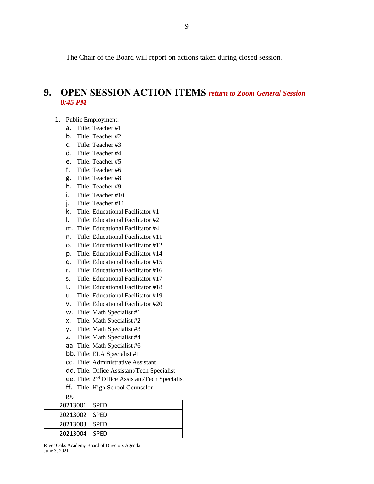The Chair of the Board will report on actions taken during closed session.

#### **9. OPEN SESSION ACTION ITEMS** *return to Zoom General Session 8:45 PM*

- 1. Public Employment:
	- a. Title: Teacher #1
	- b. Title: Teacher #2
	- c. Title: Teacher #3
	- d. Title: Teacher #4
	- e. Title: Teacher #5
	- f. Title: Teacher #6
	- g. Title: Teacher #8
	- h. Title: Teacher #9
	- i. Title: Teacher #10
	- j. Title: Teacher #11
	- k. Title: Educational Facilitator #1
	- l. Title: Educational Facilitator #2
	- m. Title: Educational Facilitator #4
	- n. Title: Educational Facilitator #11
	- o. Title: Educational Facilitator #12
	- p. Title: Educational Facilitator #14
	- q. Title: Educational Facilitator #15
	- r. Title: Educational Facilitator #16
	- s. Title: Educational Facilitator #17
	- t. Title: Educational Facilitator #18
	- u. Title: Educational Facilitator #19
	- v. Title: Educational Facilitator #20
	- w. Title: Math Specialist #1
	- x. Title: Math Specialist #2
	- y. Title: Math Specialist #3
	- z. Title: Math Specialist #4
	- aa. Title: Math Specialist #6
	- bb. Title: ELA Specialist #1
	- cc. Title: Administrative Assistant
	- dd. Title: Office Assistant/Tech Specialist
	- ee. Title: 2nd Office Assistant/Tech Specialist
	- ff. Title: High School Counselor

| gg.      |             |
|----------|-------------|
| 20213001 | I SPED      |
| 20213002 | I SPED      |
| 20213003 | I SPED      |
| 20213004 | <b>SPED</b> |